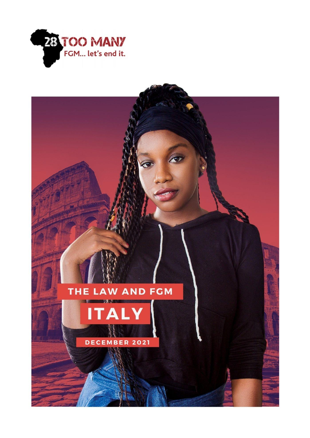

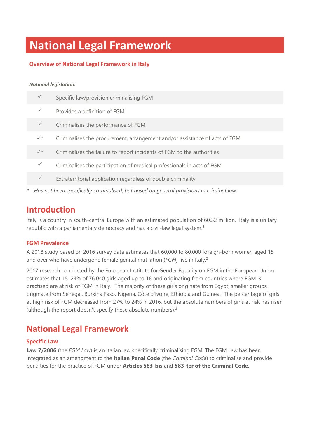# **National Legal Framework**

#### **Overview of National Legal Framework in Italy**

#### *National legislation:*

| $\checkmark$ | Specific law/provision criminalising FGM                                   |
|--------------|----------------------------------------------------------------------------|
| $\checkmark$ | Provides a definition of FGM                                               |
| $\checkmark$ | Criminalises the performance of FGM                                        |
| $\checkmark$ | Criminalises the procurement, arrangement and/or assistance of acts of FGM |
| $\checkmark$ | Criminalises the failure to report incidents of FGM to the authorities     |
| $\checkmark$ | Criminalises the participation of medical professionals in acts of FGM     |
| $\checkmark$ | Extraterritorial application regardless of double criminality              |
|              |                                                                            |

*\* Has not been specifically criminalised, but based on general provisions in criminal law.*

### **Introduction**

Italy is a country in south-central Europe with an estimated population of 60.32 million. Italy is a unitary republic with a parliamentary democracy and has a civil-law legal system.<sup>1</sup>

#### **FGM Prevalence**

A 2018 study based on 2016 survey data estimates that 60,000 to 80,000 foreign-born women aged 15 and over who have undergone female genital mutilation (*FGM*) live in Italy. 2

2017 research conducted by the European Institute for Gender Equality on FGM in the European Union estimates that 15–24% of 76,040 girls aged up to 18 and originating from countries where FGM is practised are at risk of FGM in Italy. The majority of these girls originate from Egypt; smaller groups originate from Senegal, Burkina Faso, Nigeria, Côte d'Ivoire, Ethiopia and Guinea. The percentage of girls at high risk of FGM decreased from 27% to 24% in 2016, but the absolute numbers of girls at risk has risen (although the report doesn't specify these absolute numbers). $3$ 

### **National Legal Framework**

#### **Specific Law**

**Law 7/2006** (the *FGM Law*) is an Italian law specifically criminalising FGM. The FGM Law has been integrated as an amendment to the **Italian Penal Code** (the *Criminal Code*) to criminalise and provide penalties for the practice of FGM under **Articles 583-bis** and **583-ter of the Criminal Code**.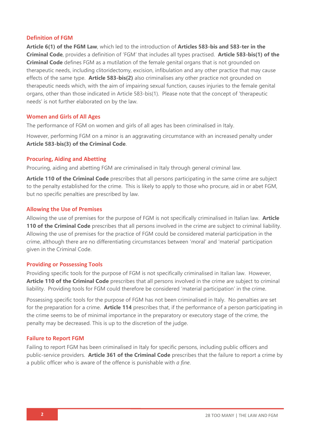#### **Definition of FGM**

**Article 6(1) of the FGM Law**, which led to the introduction of **Articles 583-bis and 583-ter in the Criminal Code**, provides a definition of 'FGM' that includes all types practised. **Article 583-bis(1) of the Criminal Code** defines FGM as a mutilation of the female genital organs that is not grounded on therapeutic needs, including clitoridectomy, excision, infibulation and any other practice that may cause effects of the same type. **Article 583-bis(2)** also criminalises any other practice not grounded on therapeutic needs which, with the aim of impairing sexual function, causes injuries to the female genital organs, other than those indicated in Article 583-bis(1). Please note that the concept of 'therapeutic needs' is not further elaborated on by the law.

#### **Women and Girls of All Ages**

The performance of FGM on women and girls of all ages has been criminalised in Italy.

However, performing FGM on a minor is an aggravating circumstance with an increased penalty under **Article 583-bis(3) of the Criminal Code**.

#### **Procuring, Aiding and Abetting**

Procuring, aiding and abetting FGM are criminalised in Italy through general criminal law.

**Article 110 of the Criminal Code** prescribes that all persons participating in the same crime are subject to the penalty established for the crime. This is likely to apply to those who procure, aid in or abet FGM, but no specific penalties are prescribed by law.

#### **Allowing the Use of Premises**

Allowing the use of premises for the purpose of FGM is not specifically criminalised in Italian law. **Article 110 of the Criminal Code** prescribes that all persons involved in the crime are subject to criminal liability. Allowing the use of premises for the practice of FGM could be considered material participation in the crime, although there are no differentiating circumstances between 'moral' and 'material' participation given in the Criminal Code.

#### **Providing or Possessing Tools**

Providing specific tools for the purpose of FGM is not specifically criminalised in Italian law. However, **Article 110 of the Criminal Code** prescribes that all persons involved in the crime are subject to criminal liability. Providing tools for FGM could therefore be considered 'material participation' in the crime.

Possessing specific tools for the purpose of FGM has not been criminalised in Italy. No penalties are set for the preparation for a crime. **Article 114** prescribes that, if the performance of a person participating in the crime seems to be of minimal importance in the preparatory or executory stage of the crime, the penalty may be decreased. This is up to the discretion of the judge.

#### **Failure to Report FGM**

Failing to report FGM has been criminalised in Italy for specific persons, including public officers and public-service providers. **Article 361 of the Criminal Code** prescribes that the failure to report a crime by a public officer who is aware of the offence is punishable with *a fine*.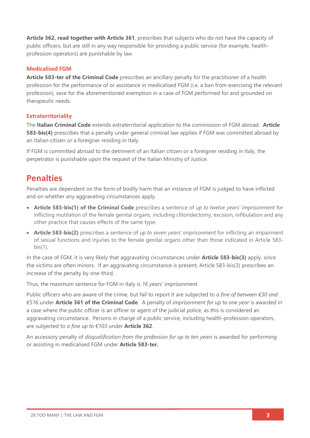**Article 362, read together with Article 361**, prescribes that subjects who do not have the capacity of public officers, but are still in any way responsible for providing a public service (for example, healthprofession operators) are punishable by law.

#### **Medicalised FGM**

**Article 583-ter of the Criminal Code** prescribes an ancillary penalty for the practitioner of a health profession for the performance of or assistance in medicalised FGM (i.e. a ban from exercising the relevant profession), save for the aforementioned exemption in a case of FGM performed for and grounded on therapeutic needs.

#### **Extraterritoriality**

The **Italian Criminal Code** extends extraterritorial application to the commission of FGM abroad. **Article 583-bis(4)** prescribes that a penalty under general criminal law applies if FGM was committed abroad by an Italian citizen or a foreigner residing in Italy.

If FGM is committed abroad to the detriment of an Italian citizen or a foreigner residing in Italy, the perpetrator is punishable upon the request of the Italian Ministry of Justice.

### **Penalties**

Penalties are dependent on the form of bodily harm that an instance of FGM is judged to have inflicted and on whether any aggravating circumstances apply.

- **Article 583-bis(1) of the Criminal Code** prescribes a sentence of *up to twelve years' imprisonment* for inflicting mutilation of the female genital organs, including clitoridectomy, excision, infibulation and any other practice that causes effects of the same type.
- **Article 583-bis(2)** prescribes a sentence of *up to seven years' imprisonment* for inflicting an impairment of sexual functions and injuries to the female genital organs other than those indicated in Article 583 bis(1).

In the case of FGM, it is very likely that aggravating circumstances under **Article 583-bis(3)** apply, since the victims are often minors. If an aggravating circumstance is present, Article 583-bis(3) prescribes an increase of the penalty by one-third.

Thus, the maximum sentence for FGM in Italy is *16 years' imprisonment*.

Public officers who are aware of the crime, but fail to report it are subjected to *a fine of between €30 and €516* under **Article 361 of the Criminal Code**. A penalty of *imprisonment for up to one year* is awarded in a case where the public officer is an officer or agent of the judicial police, as this is considered an aggravating circumstance. Persons in charge of a public service, including health-profession operators, are subjected to *a fine up to €103* under **Article 362**.

An accessory penalty of *disqualification from the profession for up to ten years* is awarded for performing or assisting in medicalised FGM under **Article 583-ter.**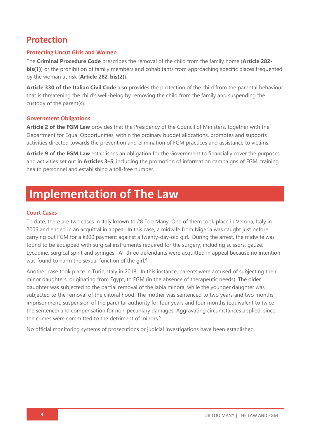### **Protection**

#### **Protecting Uncut Girls and Women**

The **Criminal Procedure Code** prescribes the removal of the child from the family home (**Article 282 bis(1)**) or the prohibition of family members and cohabitants from approaching specific places frequented by the woman at risk (**Article 282-bis(2)**).

**Article 330 of the Italian Civil Code** also provides the protection of the child from the parental behaviour that is threatening the child's well-being by removing the child from the family and suspending the custody of the parent(s).

#### **Government Obligations**

**Article 2 of the FGM Law** provides that the Presidency of the Council of Ministers, together with the Department for Equal Opportunities, within the ordinary budget allocations, promotes and supports activities directed towards the prevention and elimination of FGM practices and assistance to victims.

**Article 9 of the FGM Law** establishes an obligation for the Government to financially cover the purposes and activities set out in **Articles 3–5**, including the promotion of information campaigns of FGM, training health personnel and establishing a toll-free number.

## **Implementation of The Law**

#### **Court Cases**

To date, there are two cases in Italy known to 28 Too Many. One of them took place in Verona, Italy in 2006 and ended in an acquittal in appeal. In this case, a midwife from Nigeria was caught just before carrying out FGM for a €300 payment against a twenty-day-old girl. During the arrest, the midwife was found to be equipped with surgical instruments required for the surgery, including scissors, gauze, Lycodine, surgical spirit and syringes. All three defendants were acquitted in appeal because no intention was found to harm the sexual function of the girl.<sup>4</sup>

Another case took place in Turin, Italy in 2018. In this instance, parents were accused of subjecting their minor daughters, originating from Egypt, to FGM (in the absence of therapeutic needs). The older daughter was subjected to the partial removal of the labia minora, while the younger daughter was subjected to the removal of the clitoral hood. The mother was sentenced to two years and two months' imprisonment, suspension of the parental authority for four years and four months (equivalent to twice the sentence) and compensation for non-pecuniary damages. Aggravating circumstances applied, since the crimes were committed to the detriment of minors. 5

No official monitoring systems of prosecutions or judicial investigations have been established.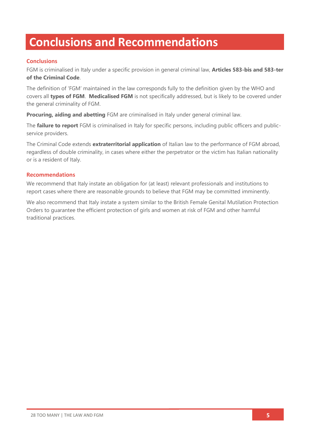## **Conclusions and Recommendations**

#### **Conclusions**

FGM is criminalised in Italy under a specific provision in general criminal law, **Articles 583-bis and 583-ter of the Criminal Code**.

The definition of 'FGM' maintained in the law corresponds fully to the definition given by the WHO and covers all **types of FGM**. **Medicalised FGM** is not specifically addressed, but is likely to be covered under the general criminality of FGM.

**Procuring, aiding and abetting** FGM are criminalised in Italy under general criminal law.

The **failure to report** FGM is criminalised in Italy for specific persons, including public officers and publicservice providers.

The Criminal Code extends **extraterritorial application** of Italian law to the performance of FGM abroad, regardless of double criminality, in cases where either the perpetrator or the victim has Italian nationality or is a resident of Italy.

#### **Recommendations**

We recommend that Italy instate an obligation for (at least) relevant professionals and institutions to report cases where there are reasonable grounds to believe that FGM may be committed imminently.

We also recommend that Italy instate a system similar to the British Female Genital Mutilation Protection Orders to guarantee the efficient protection of girls and women at risk of FGM and other harmful traditional practices.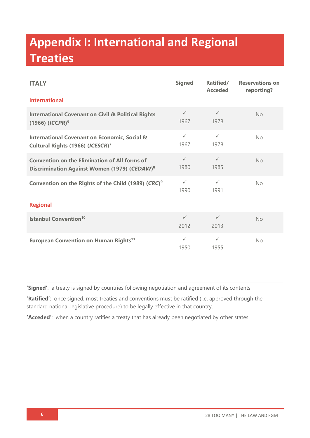# **Appendix I: International and Regional Treaties**

| <b>ITALY</b>                                                                                                     | <b>Signed</b>        | Ratified/<br><b>Acceded</b> | <b>Reservations on</b><br>reporting? |  |  |
|------------------------------------------------------------------------------------------------------------------|----------------------|-----------------------------|--------------------------------------|--|--|
| <b>International</b>                                                                                             |                      |                             |                                      |  |  |
| <b>International Covenant on Civil &amp; Political Rights</b><br>$(1966)$ $(ICCPR)^6$                            | $\checkmark$<br>1967 | $\checkmark$<br>1978        | <b>No</b>                            |  |  |
| <b>International Covenant on Economic, Social &amp;</b><br>Cultural Rights (1966) (ICESCR) <sup>7</sup>          | $\checkmark$<br>1967 | $\checkmark$<br>1978        | No                                   |  |  |
| <b>Convention on the Elimination of All forms of</b><br>Discrimination Against Women (1979) (CEDAW) <sup>8</sup> | $\checkmark$<br>1980 | $\checkmark$<br>1985        | No                                   |  |  |
| Convention on the Rights of the Child (1989) (CRC) <sup>9</sup>                                                  | $\checkmark$<br>1990 | $\checkmark$<br>1991        | <b>No</b>                            |  |  |
| <b>Regional</b>                                                                                                  |                      |                             |                                      |  |  |
| <b>Istanbul Convention<sup>10</sup></b>                                                                          | $\checkmark$<br>2012 | $\checkmark$<br>2013        | <b>No</b>                            |  |  |
| <b>European Convention on Human Rights<sup>11</sup></b>                                                          | $\checkmark$<br>1950 | $\checkmark$<br>1955        | No.                                  |  |  |

**'Signed'**: a treaty is signed by countries following negotiation and agreement of its contents.

**'Ratified'**: once signed, most treaties and conventions must be ratified (i.e. approved through the standard national legislative procedure) to be legally effective in that country.

**'Acceded'**: when a country ratifies a treaty that has already been negotiated by other states.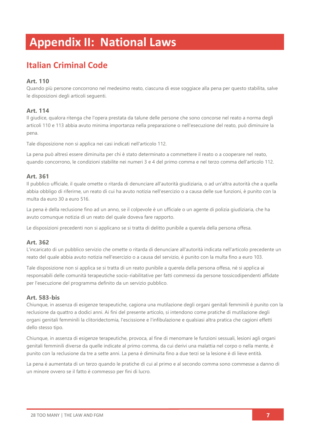# **Appendix II: National Laws**

## **Italian Criminal Code**

#### **Art. 110**

Quando più persone concorrono nel medesimo reato, ciascuna di esse soggiace alla pena per questo stabilita, salve le disposizioni degli articoli seguenti.

#### **Art. 114**

Il giudice, qualora ritenga che l'opera prestata da talune delle persone che sono concorse nel reato a norma degli articoli 110 e 113 abbia avuto minima importanza nella preparazione o nell'esecuzione del reato, può diminuire la pena.

Tale disposizione non si applica nei casi indicati nell'articolo 112.

La pena può altresì essere diminuita per chi è stato determinato a commettere il reato o a cooperare nel reato, quando concorrono, le condizioni stabilite nei numeri 3 e 4 del primo comma e nel terzo comma dell'articolo 112.

#### **Art. 361**

Il pubblico ufficiale, il quale omette o ritarda di denunciare all'autorità giudiziaria, o ad un'altra autorità che a quella abbia obbligo di riferirne, un reato di cui ha avuto notizia nell'esercizio o a causa delle sue funzioni, è punito con la multa da euro 30 a euro 516.

La pena è della reclusione fino ad un anno, se il colpevole è un ufficiale o un agente di polizia giudiziaria, che ha avuto comunque notizia di un reato del quale doveva fare rapporto.

Le disposizioni precedenti non si applicano se si tratta di delitto punibile a querela della persona offesa.

#### **Art. 362**

L'incaricato di un pubblico servizio che omette o ritarda di denunciare all'autorità indicata nell'articolo precedente un reato del quale abbia avuto notizia nell'esercizio o a causa del servizio, è punito con la multa fino a euro 103.

Tale disposizione non si applica se si tratta di un reato punibile a querela della persona offesa, né si applica ai responsabili delle comunità terapeutiche socio-riabilitative per fatti commessi da persone tossicodipendenti affidate per l'esecuzione del programma definito da un servizio pubblico.

#### **Art. 583-bis**

Chiunque, in assenza di esigenze terapeutiche, cagiona una mutilazione degli organi genitali femminili è punito con la reclusione da quattro a dodici anni. Ai fini del presente articolo, si intendono come pratiche di mutilazione degli organi genitali femminili la clitoridectomia, l'escissione e l'infibulazione e qualsiasi altra pratica che cagioni effetti dello stesso tipo.

Chiunque, in assenza di esigenze terapeutiche, provoca, al fine di menomare le funzioni sessuali, lesioni agli organi genitali femminili diverse da quelle indicate al primo comma, da cui derivi una malattia nel corpo o nella mente, è punito con la reclusione da tre a sette anni. La pena è diminuita fino a due terzi se la lesione è di lieve entità.

La pena è aumentata di un terzo quando le pratiche di cui al primo e al secondo comma sono commesse a danno di un minore ovvero se il fatto è commesso per fini di lucro.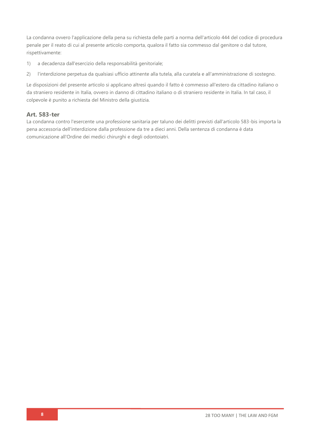La condanna ovvero l'applicazione della pena su richiesta delle parti a norma dell'articolo 444 del codice di procedura penale per il reato di cui al presente articolo comporta, qualora il fatto sia commesso dal genitore o dal tutore, rispettivamente:

- 1) a decadenza dall'esercizio della responsabilità genitoriale;
- 2) l'interdizione perpetua da qualsiasi ufficio attinente alla tutela, alla curatela e all'amministrazione di sostegno.

Le disposizioni del presente articolo si applicano altresì quando il fatto è commesso all'estero da cittadino italiano o da straniero residente in Italia, ovvero in danno di cittadino italiano o di straniero residente in Italia. In tal caso, il colpevole è punito a richiesta del Ministro della giustizia.

#### **Art. 583-ter**

La condanna contro l'esercente una professione sanitaria per taluno dei delitti previsti dall'articolo 583-bis importa la pena accessoria dell'interdizione dalla professione da tre a dieci anni. Della sentenza di condanna è data comunicazione all'Ordine dei medici chirurghi e degli odontoiatri.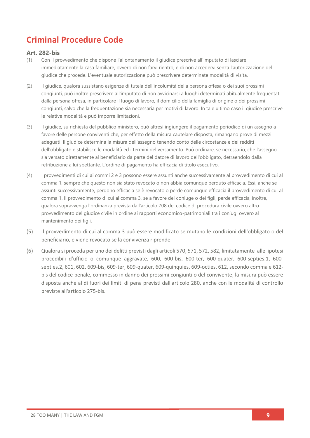## **Criminal Procedure Code**

#### **Art. 282-bis**

- (1) Con il provvedimento che dispone l'allontanamento il giudice prescrive all'imputato di lasciare immediatamente la casa familiare, ovvero di non farvi rientro, e di non accedervi senza l'autorizzazione del giudice che procede. L'eventuale autorizzazione può prescrivere determinate modalità di visita.
- (2) Il giudice, qualora sussistano esigenze di tutela dell'incolumità della persona offesa o dei suoi prossimi congiunti, può inoltre prescrivere all'imputato di non avvicinarsi a luoghi determinati abitualmente frequentati dalla persona offesa, in particolare il luogo di lavoro, il domicilio della famiglia di origine o dei prossimi congiunti, salvo che la frequentazione sia necessaria per motivi di lavoro. In tale ultimo caso il giudice prescrive le relative modalità e può imporre limitazioni.
- (3) Il giudice, su richiesta del pubblico ministero, può altresì ingiungere il pagamento periodico di un assegno a favore delle persone conviventi che, per effetto della misura cautelare disposta, rimangano prove di mezzi adeguati. Il giudice determina la misura dell'assegno tenendo conto delle circostanze e dei redditi dell'obbligato e stabilisce le modalità ed i termini del versamento. Può ordinare, se necessario, che l'assegno sia versato direttamente al beneficiario da parte del datore di lavoro dell'obbligato, detraendolo dalla retribuzione a lui spettante. L'ordine di pagamento ha efficacia di titolo esecutivo.
- (4) I provvedimenti di cui ai commi 2 e 3 possono essere assunti anche successivamente al provvedimento di cui al comma 1, sempre che questo non sia stato revocato o non abbia comunque perduto efficacia. Essi, anche se assunti successivamente, perdono efficacia se è revocato o perde comunque efficacia il provvedimento di cui al comma 1. Il provvedimento di cui al comma 3, se a favore del coniuge o dei figli, perde efficacia, inoltre, qualora sopravvenga l'ordinanza prevista dall'articolo 708 del codice di procedura civile ovvero altro provvedimento del giudice civile in ordine ai rapporti economico-patrimoniali tra i coniugi ovvero al mantenimento dei figli.
- (5) Il provvedimento di cui al comma 3 può essere modificato se mutano le condizioni dell'obbligato o del beneficiario, e viene revocato se la convivenza riprende.
- (6) Qualora si proceda per uno dei delitti previsti dagli articoli 570, 571, 572, 582, limitatamente alle ipotesi procedibili d'ufficio o comunque aggravate, 600, 600-bis, 600-ter, 600-quater, 600-septies.1, 600 septies.2, 601, 602, 609-bis, 609-ter, 609-quater, 609-quinquies, 609-octies, 612, secondo comma e 612 bis del codice penale, commesso in danno dei prossimi congiunti o del convivente, la misura può essere disposta anche al di fuori dei limiti di pena previsti dall'articolo 280, anche con le modalità di controllo previste all'articolo 275-bis.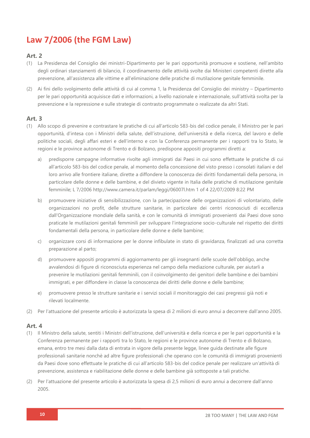## **Law 7/2006 (the FGM Law)**

#### **Art. 2**

- (1) La Presidenza del Consiglio dei ministri-Dipartimento per le pari opportunità promuove e sostiene, nell'ambito degli ordinari stanziamenti di bilancio, il coordinamento delle attività svolte dai Ministeri competenti dirette alla prevenzione, all'assistenza alle vittime e all'eliminazione delle pratiche di mutilazione genitale femminile.
- (2) Ai fini dello svolgimento delle attività di cui al comma 1, la Presidenza del Consiglio dei ministry Dipartimento per le pari opportunità acquisisce dati e informazioni, a livello nazionale e internazionale, sull'attività svolta per la prevenzione e la repressione e sulle strategie di contrasto programmate o realizzate da altri Stati.

#### **Art. 3**

- (1) Allo scopo di prevenire e contrastare le pratiche di cui all'articolo 583-bis del codice penale, il Ministro per le pari opportunità, d'intesa con i Ministri della salute, dell'istruzione, dell'università e della ricerca, del lavoro e delle politiche sociali, degli affari esteri e dell'interno e con la Conferenza permanente per i rapporti tra lo Stato, le regioni e le province autonome di Trento e di Bolzano, predispone appositi programmi diretti a:
	- a) predisporre campagne informative rivolte agli immigrati dai Paesi in cui sono effettuate le pratiche di cui all'articolo 583-bis del codice penale, al momento della concessione del visto presso i consolati italiani e del loro arrivo alle frontiere italiane, dirette a diffondere la conoscenza dei diritti fondamentali della persona, in particolare delle donne e delle bambine, e del divieto vigente in Italia delle pratiche di mutilazione genitale femminile; L 7/2006 http://www.camera.it/parlam/leggi/06007l.htm 1 of 4 22/07/2009 8:22 PM
	- b) promuovere iniziative di sensibilizzazione, con la partecipazione delle organizzazioni di volontariato, delle organizzazioni no profit, delle strutture sanitarie, in particolare dei centri riconosciuti di eccellenza dall'Organizzazione mondiale della sanità, e con le comunità di immigrati provenienti dai Paesi dove sono praticate le mutilazioni genitali femminili per sviluppare l'integrazione socio-culturale nel rispetto dei diritti fondamentali della persona, in particolare delle donne e delle bambine;
	- c) organizzare corsi di informazione per le donne infibulate in stato di gravidanza, finalizzati ad una corretta preparazione al parto;
	- d) promuovere appositi programmi di aggiornamento per gli insegnanti delle scuole dell'obbligo, anche avvalendosi di figure di riconosciuta esperienza nel campo della mediazione culturale, per aiutarli a prevenire le mutilazioni genitali femminili, con il coinvolgimento dei genitori delle bambine e dei bambini immigrati, e per diffondere in classe la conoscenza dei diritti delle donne e delle bambine;
	- e) promuovere presso le strutture sanitarie e i servizi sociali il monitoraggio dei casi pregressi già noti e rilevati localmente.
- (2) Per l'attuazione del presente articolo è autorizzata la spesa di 2 milioni di euro annui a decorrere dall'anno 2005.

#### **Art. 4**

- (1) Il Ministro della salute, sentiti i Ministri dell'istruzione, dell'università e della ricerca e per le pari opportunità e la Conferenza permanente per i rapporti tra lo Stato, le regioni e le province autonome di Trento e di Bolzano, emana, entro tre mesi dalla data di entrata in vigore della presente legge, linee guida destinate alle figure professionali sanitarie nonchè ad altre figure professionali che operano con le comunità di immigrati provenienti da Paesi dove sono effettuate le pratiche di cui all'articolo 583-bis del codice penale per realizzare un'attività di prevenzione, assistenza e riabilitazione delle donne e delle bambine già sottoposte a tali pratiche.
- (2) Per l'attuazione del presente articolo è autorizzata la spesa di 2,5 milioni di euro annui a decorrere dall'anno 2005.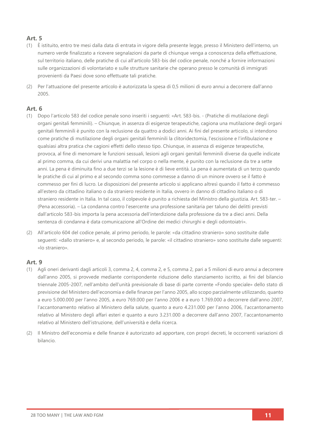#### **Art. 5**

- (1) È istituito, entro tre mesi dalla data di entrata in vigore della presente legge, presso il Ministero dell'interno, un numero verde finalizzato a ricevere segnalazioni da parte di chiunque venga a conoscenza della effettuazione, sul territorio italiano, delle pratiche di cui all'articolo 583-bis del codice penale, nonché a fornire informazioni sulle organizzazioni di volontariato e sulle strutture sanitarie che operano presso le comunità di immigrati provenienti da Paesi dove sono effettuate tali pratiche.
- (2) Per l'attuazione del presente articolo è autorizzata la spesa di 0,5 milioni di euro annui a decorrere dall'anno 2005.

#### **Art. 6**

- (1) Dopo l'articolo 583 del codice penale sono inseriti i seguenti: «Art. 583-bis. (Pratiche di mutilazione degli organi genitali femminili). – Chiunque, in assenza di esigenze terapeutiche, cagiona una mutilazione degli organi genitali femminili è punito con la reclusione da quattro a dodici anni. Ai fini del presente articolo, si intendono come pratiche di mutilazione degli organi genitali femminili la clitoridectomia, l'escissione e l'infibulazione e qualsiasi altra pratica che cagioni effetti dello stesso tipo. Chiunque, in assenza di esigenze terapeutiche, provoca, al fine di menomare le funzioni sessuali, lesioni agli organi genitali femminili diverse da quelle indicate al primo comma, da cui derivi una malattia nel corpo o nella mente, è punito con la reclusione da tre a sette anni. La pena è diminuita fino a due terzi se la lesione è di lieve entità. La pena è aumentata di un terzo quando le pratiche di cui al primo e al secondo comma sono commesse a danno di un minore ovvero se il fatto è commesso per fini di lucro. Le disposizioni del presente articolo si applicano altresì quando il fatto è commesso all'estero da cittadino italiano o da straniero residente in Italia, ovvero in danno di cittadino italiano o di straniero residente in Italia. In tal caso, il colpevole è punito a richiesta del Ministro della giustizia. Art. 583-ter. – (Pena accessoria). – La condanna contro l'esercente una professione sanitaria per taluno dei delitti previsti dall'articolo 583-bis importa la pena accessoria dell'interdizione dalla professione da tre a dieci anni. Della sentenza di condanna è data comunicazione all'Ordine dei medici chirurghi e degli odontoiatri».
- (2) All'articolo 604 del codice penale, al primo periodo, le parole: «da cittadino straniero» sono sostituite dalle seguenti: «dallo straniero» e, al secondo periodo, le parole: «il cittadino straniero» sono sostituite dalle seguenti: «lo straniero».

#### **Art. 9**

- (1) Agli oneri derivanti dagli articoli 3, comma 2, 4, comma 2, e 5, comma 2, pari a 5 milioni di euro annui a decorrere dall'anno 2005, si provvede mediante corrispondente riduzione dello stanziamento iscritto, ai fini del bilancio triennale 2005-2007, nell'ambito dell'unità previsionale di base di parte corrente «Fondo speciale» dello stato di previsione del Ministero dell'economia e delle finanze per l'anno 2005, allo scopo parzialmente utilizzando, quanto a euro 5.000.000 per l'anno 2005, a euro 769.000 per l'anno 2006 e a euro 1.769.000 a decorrere dall'anno 2007, l'accantonamento relativo al Ministero della salute, quanto a euro 4.231.000 per l'anno 2006, l'accantonamento relativo al Ministero degli affari esteri e quanto a euro 3.231.000 a decorrere dall'anno 2007, l'accantonamento relativo al Ministero dell'istruzione, dell'università e della ricerca.
- (2) Il Ministro dell'economia e delle finanze è autorizzato ad apportare, con propri decreti, le occorrenti variazioni di bilancio.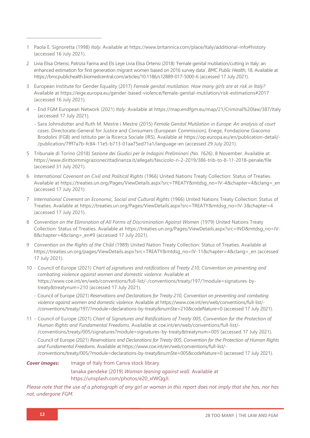- 1 Paola E. Signoretta (1998) *Italy*. Available at<https://www.britannica.com/place/Italy/additional-info#history> (accessed 16 July 2021).
- 2 Livia Elisa Ortensi, Patrizia Farina and Els Leye Livia Elisa Ortensi (2018) 'Female genital mutilation/cutting in Italy: an enhanced estimation for first generation migrant women based on 2016 survey data', *BMC Public Health*, 18. Available at <https://bmcpublichealth.biomedcentral.com/articles/10.1186/s12889-017-5000-6> (accessed 17 July 2021).
- 3 European Institute for Gender Equality (2017) *Female genital mutilation. How many girls are at risk in Italy?* Available at<https://eige.europa.eu/gender-based-violence/female-genital-mutilation/risk-estimations#2017> (accessed 16 July 2021).
- 4 End FGM European Network (2021) *Italy*. Available at<https://map.endfgm.eu/map/21/Criminal%20law/387/Italy> (accessed 17 July 2021).
	- Sara Johnsdotter and Ruth M. Mestre i Mestre (2015) *Female Genital Mutilation in Europe: An analysis of court cases*. Directorate-General for Justice and Consumers (European Commission), Enege, Fondazione Giacomo Brodolini (FGB) and Istituto per la Ricerca Sociale (IRS). Available at [https://op.europa.eu/en/publication-detail/-](https://op.europa.eu/en/publication-detail/-/publication/7fff7a7b-fc84-11e5-b713-01aa75ed71a1/language-en) [/publication/7fff7a7b-fc84-11e5-b713-01aa75ed71a1/language-en](https://op.europa.eu/en/publication-detail/-/publication/7fff7a7b-fc84-11e5-b713-01aa75ed71a1/language-en) (accessed 29 July 2021).
- 5 Tribunale di Torino (2018) *Sezione dei Giudici per le Indagini Preliminari (No. 1626)*, 8 November. Available at <https://www.dirittoimmigrazionecittadinanza.it/allegati/fascicolo-n-2-2019/386-trib-to-8-11-2018-penale/file> (accessed 31 July 2021).
- 6 *International Covenant on Civil and Political Rights* (1966) United Nations Treaty Collection: Status of Treaties*.* Available at [https://treaties.un.org/Pages/ViewDetails.aspx?src=TREATY&mtdsg\\_no=IV-4&chapter=4&clang=\\_en](https://treaties.un.org/Pages/ViewDetails.aspx?src=TREATY&mtdsg_no=IV-4&chapter=4&clang=_en) (accessed 17 July 2021).
- 7 *International Covenant on Economic, Social and Cultural Rights* (1966) United Nations Treaty Collection: Status of Treaties. Available at [https://treaties.un.org/Pages/ViewDetails.aspx?src=TREATY&mtdsg\\_no=IV-3&chapter=4](https://treaties.un.org/Pages/ViewDetails.aspx?src=TREATY&mtdsg_no=IV-3&chapter=4) (accessed 17 July 2021).
- 8 *Convention on the Elimination of All Forms of Discrimination Against Women (1979) United Nations Treaty* Collection: Status of Treaties. Available at [https://treaties.un.org/Pages/ViewDetails.aspx?src=IND&mtdsg\\_no=IV-](https://treaties.un.org/Pages/ViewDetails.aspx?src=IND&mtdsg_no=IV-8&chapter=4&clang=_en#9)8&chapter=4&clang= en#9 (accessed 17 July 2021).
- 9 *Convention on the Rights of the Child* (1989) United Nation Treaty Collection: Status of Treaties. Available at [https://treaties.un.org/pages/ViewDetails.aspx?src=TREATY&mtdsg\\_no=IV-11&chapter=4&clang=\\_en](https://treaties.un.org/pages/ViewDetails.aspx?src=TREATY&mtdsg_no=IV-11&chapter=4&clang=_en) (accessed 17 July 2021).
- 10 Council of Europe (2021) *Chart of signatures and ratifications of Treaty 210, Convention on preventing and combating violence against women and domestic violence*. Available at [https://www.coe.int/en/web/conventions/full-list/-/conventions/treaty/197/?module=signatures-by](https://www.coe.int/en/web/conventions/full-list/-/conventions/treaty/197/?module=signatures-by-treaty&treatynum=210)[treaty&treatynum=210](https://www.coe.int/en/web/conventions/full-list/-/conventions/treaty/197/?module=signatures-by-treaty&treatynum=210) (accessed 17 July 2021).
	- Council of Europe (2021) *Reservations and Declarations for Treaty 210, Convention on preventing and combating violence against women and domestic violence*. Available at [https://www.coe.int/en/web/conventions/full-list/-](https://www.coe.int/en/web/conventions/full-list/-/conventions/treaty/197/?module=declarations-by-treaty&numSte=210&codeNature=0) [/conventions/treaty/197/?module=declarations-by-treaty&numSte=210&codeNature=0](https://www.coe.int/en/web/conventions/full-list/-/conventions/treaty/197/?module=declarations-by-treaty&numSte=210&codeNature=0) (accessed 17 July 2021).
- 11 Council of Europe (2021) *Chart of Signatures and Ratifications of Treaty 005, Convention for the Protection of Human Rights and Fundamental Freedoms*. Available at [coe.int/en/web/conventions/full-list/-](file:///C:/Users/Danica/Desktop/Law%20Reports/coe.int/en/web/conventions/full-list/-/conventions/treaty/005/signatures) [/conventions/treaty/005/signatures?module=signatures-by-treaty&treatynum=005](file:///C:/Users/Danica/Desktop/Law%20Reports/coe.int/en/web/conventions/full-list/-/conventions/treaty/005/signatures) (accessed 17 July 2021).
	- Council of Europe (2021) *Reservations and Declarations for Treaty 005, Convention for the Protection of Human Rights and Fundamental Freedoms*. Available at [https://www.coe.int/en/web/conventions/full-list/-](https://www.coe.int/en/web/conventions/full-list/-/conventions/treaty/005/?module=declarations-by-treaty&numSte=005&codeNature=0) [/conventions/treaty/005/?module=declarations-by-treaty&numSte=005&codeNature=0](https://www.coe.int/en/web/conventions/full-list/-/conventions/treaty/005/?module=declarations-by-treaty&numSte=005&codeNature=0) (accessed 17 July 2021).

**Cover images:** Image of Italy from Canva stock library. tanaka pendeke (2019) *Woman leaning against wall*. Available at [https://unsplash.com/photos/e20\\_xIWQgJI.](https://unsplash.com/photos/e20_xIWQgJI)

*Please note that the use of a photograph of any girl or woman in this report does not imply that she has, nor has not, undergone FGM.*